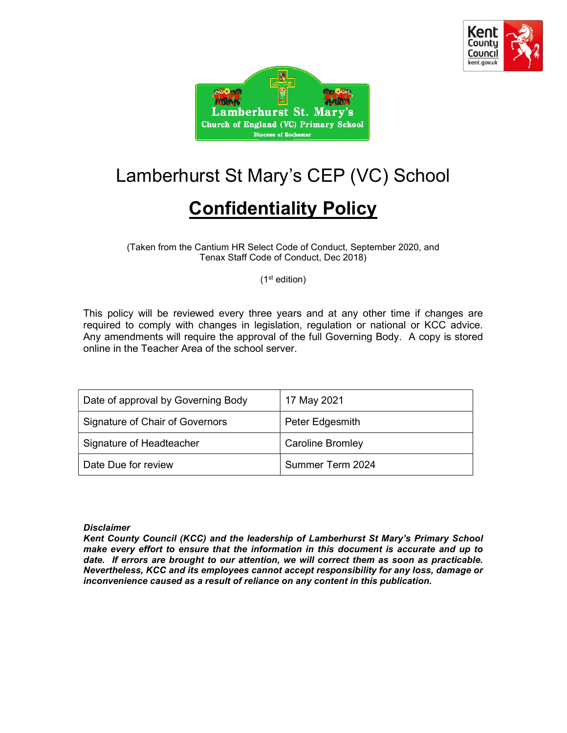



# Lamberhurst St Mary's CEP (VC) School

## Confidentiality Policy

(Taken from the Cantium HR Select Code of Conduct, September 2020, and Tenax Staff Code of Conduct, Dec 2018)

(1st edition)

This policy will be reviewed every three years and at any other time if changes are required to comply with changes in legislation, regulation or national or KCC advice. Any amendments will require the approval of the full Governing Body. A copy is stored online in the Teacher Area of the school server.

| Date of approval by Governing Body | 17 May 2021             |
|------------------------------------|-------------------------|
| Signature of Chair of Governors    | Peter Edgesmith         |
| Signature of Headteacher           | <b>Caroline Bromley</b> |
| Date Due for review                | Summer Term 2024        |

#### **Disclaimer**

Kent County Council (KCC) and the leadership of Lamberhurst St Mary's Primary School make every effort to ensure that the information in this document is accurate and up to date. If errors are brought to our attention, we will correct them as soon as practicable. Nevertheless, KCC and its employees cannot accept responsibility for any loss, damage or inconvenience caused as a result of reliance on any content in this publication.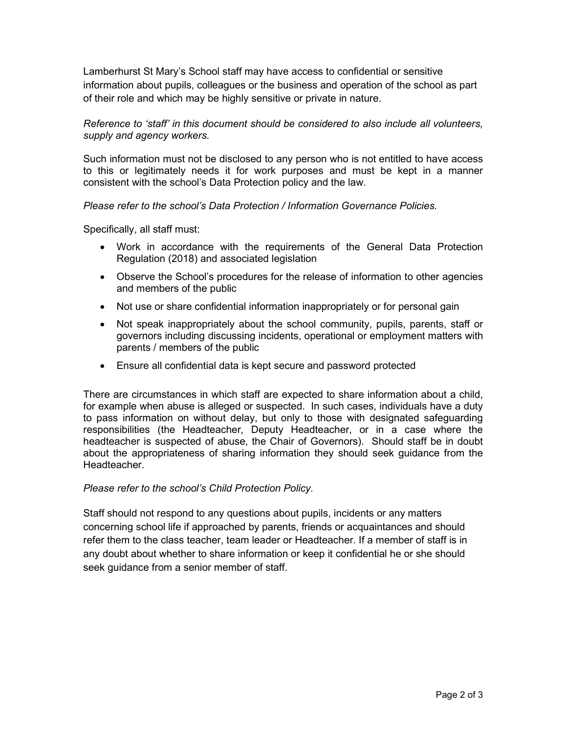Lamberhurst St Mary's School staff may have access to confidential or sensitive information about pupils, colleagues or the business and operation of the school as part of their role and which may be highly sensitive or private in nature.

#### Reference to 'staff' in this document should be considered to also include all volunteers, supply and agency workers.

Such information must not be disclosed to any person who is not entitled to have access to this or legitimately needs it for work purposes and must be kept in a manner consistent with the school's Data Protection policy and the law.

#### Please refer to the school's Data Protection / Information Governance Policies.

Specifically, all staff must:

- Work in accordance with the requirements of the General Data Protection Regulation (2018) and associated legislation
- Observe the School's procedures for the release of information to other agencies and members of the public
- Not use or share confidential information inappropriately or for personal gain
- Not speak inappropriately about the school community, pupils, parents, staff or governors including discussing incidents, operational or employment matters with parents / members of the public
- Ensure all confidential data is kept secure and password protected

There are circumstances in which staff are expected to share information about a child, for example when abuse is alleged or suspected. In such cases, individuals have a duty to pass information on without delay, but only to those with designated safeguarding responsibilities (the Headteacher, Deputy Headteacher, or in a case where the headteacher is suspected of abuse, the Chair of Governors). Should staff be in doubt about the appropriateness of sharing information they should seek guidance from the Headteacher.

#### Please refer to the school's Child Protection Policy.

Staff should not respond to any questions about pupils, incidents or any matters concerning school life if approached by parents, friends or acquaintances and should refer them to the class teacher, team leader or Headteacher. If a member of staff is in any doubt about whether to share information or keep it confidential he or she should seek guidance from a senior member of staff.